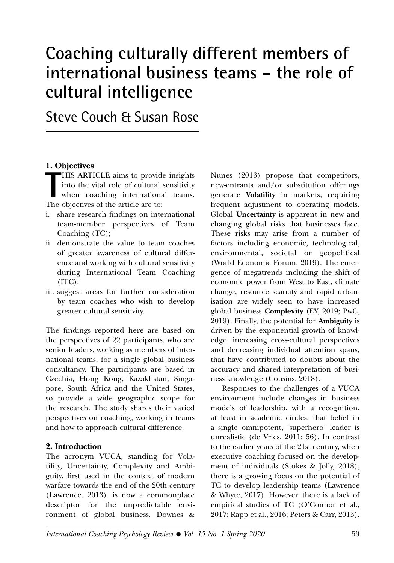# **Coaching culturally different members of international business teams – the role of cultural intelligence**

Steve Couch & Susan Rose

#### **1. Objectives**

**THIS ARTICLE** aims to provid<br>
into the vital role of cultural<br>
when coaching internation:<br>
The objectives of the article are to: HIS ARTICLE aims to provide insights into the vital role of cultural sensitivity when coaching international teams.

- i. share research findings on international team-member perspectives of Team Coaching (TC);
- ii. demonstrate the value to team coaches of greater awareness of cultural difference and working with cultural sensitivity during International Team Coaching (ITC);
- iii. suggest areas for further consideration by team coaches who wish to develop greater cultural sensitivity.

The findings reported here are based on the perspectives of 22 participants, who are senior leaders, working as members of international teams, for a single global business consultancy. The participants are based in Czechia, Hong Kong, Kazakhstan, Singapore, South Africa and the United States, so provide a wide geographic scope for the research. The study shares their varied perspectives on coaching, working in teams and how to approach cultural difference.

#### **2. Introduction**

The acronym VUCA, standing for Volatility, Uncertainty, Complexity and Ambiguity, first used in the context of modern warfare towards the end of the 20th century (Lawrence, 2013), is now a commonplace descriptor for the unpredictable environment of global business. Downes &

Nunes (2013) propose that competitors, new-entrants and/or substitution offerings generate **Volatility** in markets, requiring frequent adjustment to operating models. Global **Uncertainty** is apparent in new and changing global risks that businesses face. These risks may arise from a number of factors including economic, technological, environmental, societal or geopolitical (World Economic Forum, 2019). The emergence of megatrends including the shift of economic power from West to East, climate change, resource scarcity and rapid urbanisation are widely seen to have increased global business **Complexity** (EY, 2019; PwC, 2019). Finally, the potential for **Ambiguity** is driven by the exponential growth of knowledge, increasing cross-cultural perspectives and decreasing individual attention spans, that have contributed to doubts about the accuracy and shared interpretation of business knowledge (Cousins, 2018).

Responses to the challenges of a VUCA environment include changes in business models of leadership, with a recognition, at least in academic circles, that belief in a single omnipotent, 'superhero' leader is unrealistic (de Vries, 2011: 56). In contrast to the earlier years of the 21st century, when executive coaching focused on the development of individuals (Stokes & Jolly, 2018), there is a growing focus on the potential of TC to develop leadership teams (Lawrence & Whyte, 2017). However, there is a lack of empirical studies of TC (O'Connor et al., 2017; Rapp et al., 2016; Peters & Carr, 2013).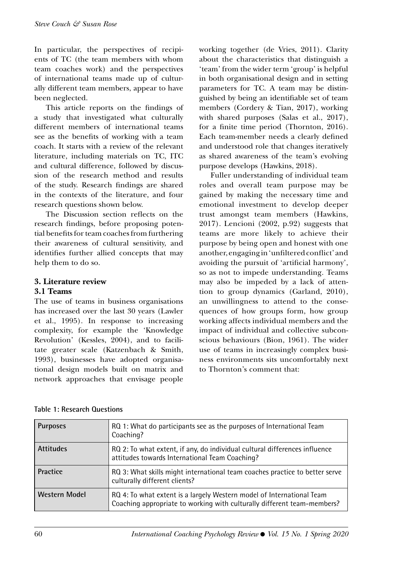In particular, the perspectives of recipients of TC (the team members with whom team coaches work) and the perspectives of international teams made up of culturally different team members, appear to have been neglected.

This article reports on the findings of a study that investigated what culturally different members of international teams see as the benefits of working with a team coach. It starts with a review of the relevant literature, including materials on TC, ITC and cultural difference, followed by discussion of the research method and results of the study. Research findings are shared in the contexts of the literature, and four research questions shown below.

The Discussion section reflects on the research findings, before proposing potential benefits for team coaches from furthering their awareness of cultural sensitivity, and identifies further allied concepts that may help them to do so.

#### **3. Literature review 3.1 Teams**

The use of teams in business organisations

has increased over the last 30 years (Lawler et al., 1995). In response to increasing complexity, for example the 'Knowledge Revolution' (Kessles, 2004), and to facilitate greater scale (Katzenbach & Smith, 1993), businesses have adopted organisational design models built on matrix and network approaches that envisage people working together (de Vries, 2011). Clarity about the characteristics that distinguish a 'team' from the wider term 'group' is helpful in both organisational design and in setting parameters for TC. A team may be distinguished by being an identifiable set of team members (Cordery & Tian, 2017), working with shared purposes (Salas et al., 2017), for a finite time period (Thornton, 2016). Each team-member needs a clearly defined and understood role that changes iteratively as shared awareness of the team's evolving purpose develops (Hawkins, 2018).

Fuller understanding of individual team roles and overall team purpose may be gained by making the necessary time and emotional investment to develop deeper trust amongst team members (Hawkins, 2017). Lencioni (2002, p.92) suggests that teams are more likely to achieve their purpose by being open and honest with one another, engaging in 'unfiltered conflict' and avoiding the pursuit of 'artificial harmony', so as not to impede understanding. Teams may also be impeded by a lack of attention to group dynamics (Garland, 2010), an unwillingness to attend to the consequences of how groups form, how group working affects individual members and the impact of individual and collective subconscious behaviours (Bion, 1961). The wider use of teams in increasingly complex business environments sits uncomfortably next to Thornton's comment that:

|  |  |  | Table 1: Research Questions |
|--|--|--|-----------------------------|
|--|--|--|-----------------------------|

| <b>Purposes</b>      | RQ 1: What do participants see as the purposes of International Team<br>Coaching?                                                                |
|----------------------|--------------------------------------------------------------------------------------------------------------------------------------------------|
| <b>Attitudes</b>     | RQ 2: To what extent, if any, do individual cultural differences influence<br>attitudes towards International Team Coaching?                     |
| <b>Practice</b>      | RQ 3: What skills might international team coaches practice to better serve<br>culturally different clients?                                     |
| <b>Western Model</b> | RQ 4: To what extent is a largely Western model of International Team<br>Coaching appropriate to working with culturally different team-members? |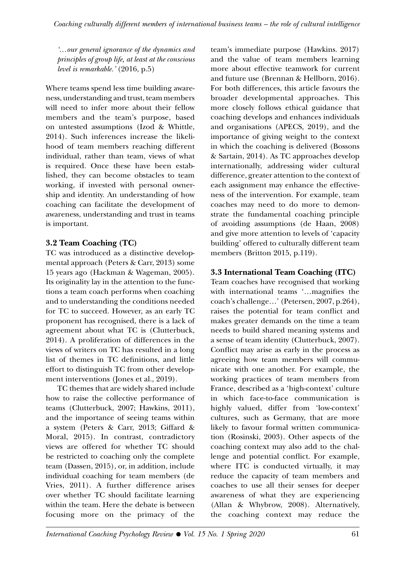*'…our general ignorance of the dynamics and principles of group life, at least at the conscious level is remarkable.'* (2016, p.5)

Where teams spend less time building awareness, understanding and trust, team members will need to infer more about their fellow members and the team's purpose, based on untested assumptions (Izod & Whittle, 2014). Such inferences increase the likelihood of team members reaching different individual, rather than team, views of what is required. Once these have been established, they can become obstacles to team working, if invested with personal ownership and identity. An understanding of how coaching can facilitate the development of awareness, understanding and trust in teams is important.

## **3.2 Team Coaching (TC)**

TC was introduced as a distinctive developmental approach (Peters & Carr, 2013) some 15 years ago (Hackman & Wageman, 2005). Its originality lay in the attention to the functions a team coach performs when coaching and to understanding the conditions needed for TC to succeed. However, as an early TC proponent has recognised, there is a lack of agreement about what TC is (Clutterbuck, 2014). A proliferation of differences in the views of writers on TC has resulted in a long list of themes in TC definitions, and little effort to distinguish TC from other development interventions (Jones et al., 2019).

TC themes that are widely shared include how to raise the collective performance of teams (Clutterbuck, 2007; Hawkins, 2011), and the importance of seeing teams within a system (Peters & Carr, 2013; Giffard & Moral, 2015). In contrast, contradictory views are offered for whether TC should be restricted to coaching only the complete team (Dassen, 2015), or, in addition, include individual coaching for team members (de Vries, 2011). A further difference arises over whether TC should facilitate learning within the team. Here the debate is between focusing more on the primacy of the

team's immediate purpose (Hawkins. 2017) and the value of team members learning more about effective teamwork for current and future use (Brennan & Hellborn, 2016). For both differences, this article favours the broader developmental approaches. This more closely follows ethical guidance that coaching develops and enhances individuals and organisations (APECS, 2019), and the importance of giving weight to the context in which the coaching is delivered (Bossons & Sartain, 2014). As TC approaches develop internationally, addressing wider cultural difference, greater attention to the context of each assignment may enhance the effectiveness of the intervention. For example, team coaches may need to do more to demonstrate the fundamental coaching principle of avoiding assumptions (de Haan, 2008) and give more attention to levels of 'capacity building' offered to culturally different team members (Britton 2015, p.119).

# **3.3 International Team Coaching (ITC)**

Team coaches have recognised that working with international teams '…magnifies the coach's challenge…' (Petersen, 2007, p.264), raises the potential for team conflict and makes greater demands on the time a team needs to build shared meaning systems and a sense of team identity (Clutterbuck, 2007). Conflict may arise as early in the process as agreeing how team members will communicate with one another. For example, the working practices of team members from France, described as a 'high-context' culture in which face-to-face communication is highly valued, differ from 'low-context' cultures, such as Germany, that are more likely to favour formal written communication (Rosinski, 2003). Other aspects of the coaching context may also add to the challenge and potential conflict. For example, where ITC is conducted virtually, it may reduce the capacity of team members and coaches to use all their senses for deeper awareness of what they are experiencing (Allan & Whybrow, 2008). Alternatively, the coaching context may reduce the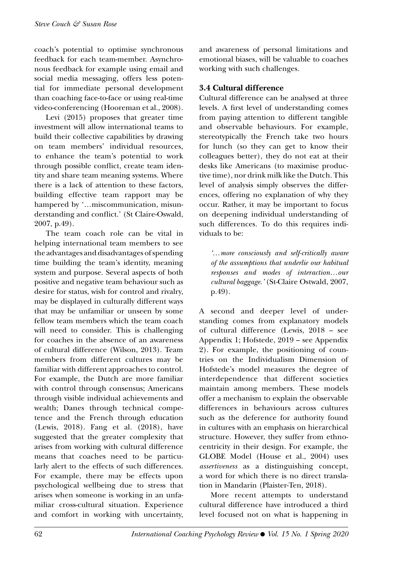coach's potential to optimise synchronous feedback for each team-member. Asynchronous feedback for example using email and social media messaging, offers less potential for immediate personal development than coaching face-to-face or using real-time video-conferencing (Hooreman et al., 2008).

Levi (2015) proposes that greater time investment will allow international teams to build their collective capabilities by drawing on team members' individual resources, to enhance the team's potential to work through possible conflict, create team identity and share team meaning systems. Where there is a lack of attention to these factors, building effective team rapport may be hampered by '...miscommunication, misunderstanding and conflict.' (St Claire-Oswald, 2007, p.49).

The team coach role can be vital in helping international team members to see the advantages and disadvantages of spending time building the team's identity, meaning system and purpose. Several aspects of both positive and negative team behaviour such as desire for status, wish for control and rivalry, may be displayed in culturally different ways that may be unfamiliar or unseen by some fellow team members which the team coach will need to consider. This is challenging for coaches in the absence of an awareness of cultural difference (Wilson, 2013). Team members from different cultures may be familiar with different approaches to control. For example, the Dutch are more familiar with control through consensus; Americans through visible individual achievements and wealth; Danes through technical competence and the French through education (Lewis, 2018). Fang et al. (2018), have suggested that the greater complexity that arises from working with cultural difference means that coaches need to be particularly alert to the effects of such differences. For example, there may be effects upon psychological wellbeing due to stress that arises when someone is working in an unfamiliar cross-cultural situation. Experience and comfort in working with uncertainty, and awareness of personal limitations and emotional biases, will be valuable to coaches working with such challenges.

### **3.4 Cultural difference**

Cultural difference can be analysed at three levels. A first level of understanding comes from paying attention to different tangible and observable behaviours. For example, stereotypically the French take two hours for lunch (so they can get to know their colleagues better), they do not eat at their desks like Americans (to maximise productive time), nor drink milk like the Dutch. This level of analysis simply observes the differences, offering no explanation of why they occur. Rather, it may be important to focus on deepening individual understanding of such differences. To do this requires individuals to be:

*'…more consciously and self-critically aware of the assumptions that underlie our habitual responses and modes of interaction…our cultural baggage.'* (St-Claire Ostwald, 2007, p.49).

A second and deeper level of understanding comes from explanatory models of cultural difference (Lewis, 2018 – see Appendix 1; Hofstede, 2019 – see Appendix 2). For example, the positioning of countries on the Individualism Dimension of Hofstede's model measures the degree of interdependence that different societies maintain among members. These models offer a mechanism to explain the observable differences in behaviours across cultures such as the deference for authority found in cultures with an emphasis on hierarchical structure. However, they suffer from ethnocentricity in their design. For example, the GLOBE Model (House et al., 2004) uses *assertiveness* as a distinguishing concept, a word for which there is no direct translation in Mandarin (Plaister-Ten, 2018).

More recent attempts to understand cultural difference have introduced a third level focused not on what is happening in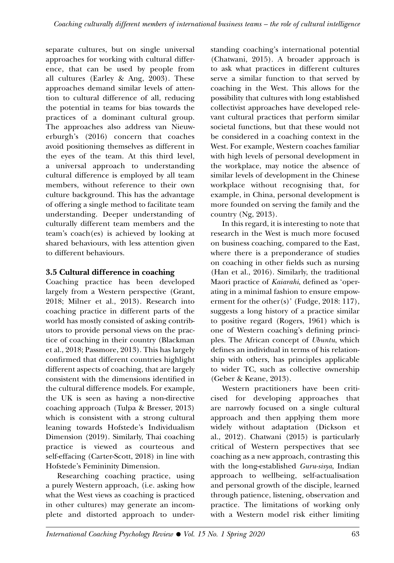separate cultures, but on single universal approaches for working with cultural difference, that can be used by people from all cultures (Earley & Ang, 2003). These approaches demand similar levels of attention to cultural difference of all, reducing the potential in teams for bias towards the practices of a dominant cultural group. The approaches also address van Nieuwerburgh's (2016) concern that coaches avoid positioning themselves as different in the eyes of the team. At this third level, a universal approach to understanding cultural difference is employed by all team members, without reference to their own culture background. This has the advantage of offering a single method to facilitate team understanding. Deeper understanding of culturally different team members and the team's coach(es) is achieved by looking at shared behaviours, with less attention given to different behaviours.

# **3.5 Cultural difference in coaching**

Coaching practice has been developed largely from a Western perspective (Grant, 2018; Milner et al., 2013). Research into coaching practice in different parts of the world has mostly consisted of asking contributors to provide personal views on the practice of coaching in their country (Blackman et al., 2018; Passmore, 2013). This has largely confirmed that different countries highlight different aspects of coaching, that are largely consistent with the dimensions identified in the cultural difference models. For example, the UK is seen as having a non-directive coaching approach (Tulpa & Bresser, 2013) which is consistent with a strong cultural leaning towards Hofstede's Individualism Dimension (2019). Similarly, Thai coaching practice is viewed as courteous and self-effacing (Carter-Scott, 2018) in line with Hofstede's Femininity Dimension.

Researching coaching practice, using a purely Western approach, (i.e. asking how what the West views as coaching is practiced in other cultures) may generate an incomplete and distorted approach to understanding coaching's international potential (Chatwani, 2015). A broader approach is to ask what practices in different cultures serve a similar function to that served by coaching in the West. This allows for the possibility that cultures with long established collectivist approaches have developed relevant cultural practices that perform similar societal functions, but that these would not be considered in a coaching context in the West. For example, Western coaches familiar with high levels of personal development in the workplace, may notice the absence of similar levels of development in the Chinese workplace without recognising that, for example, in China, personal development is more founded on serving the family and the country (Ng, 2013).

In this regard, it is interesting to note that research in the West is much more focused on business coaching, compared to the East, where there is a preponderance of studies on coaching in other fields such as nursing (Han et al., 2016). Similarly, the traditional Maori practice of *Kaiarahi*, defined as 'operating in a minimal fashion to ensure empowerment for the other(s)' (Fudge, 2018: 117), suggests a long history of a practice similar to positive regard (Rogers, 1961) which is one of Western coaching's defining principles. The African concept of *Ubuntu*, which defines an individual in terms of his relationship with others, has principles applicable to wider TC, such as collective ownership (Geber & Keane, 2013).

Western practitioners have been criticised for developing approaches that are narrowly focused on a single cultural approach and then applying them more widely without adaptation (Dickson et al., 2012). Chatwani (2015) is particularly critical of Western perspectives that see coaching as a new approach, contrasting this with the long-established *Guru-sisya*, Indian approach to wellbeing, self-actualisation and personal growth of the disciple, learned through patience, listening, observation and practice. The limitations of working only with a Western model risk either limiting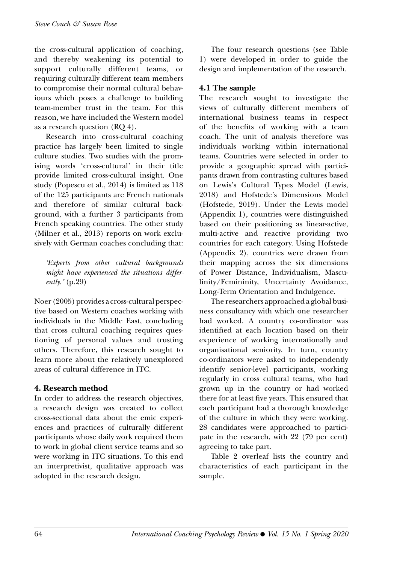the cross-cultural application of coaching, and thereby weakening its potential to support culturally different teams, or requiring culturally different team members to compromise their normal cultural behaviours which poses a challenge to building team-member trust in the team. For this reason, we have included the Western model as a research question (RQ 4).

Research into cross-cultural coaching practice has largely been limited to single culture studies. Two studies with the promising words 'cross-cultural' in their title provide limited cross-cultural insight. One study (Popescu et al., 2014) is limited as 118 of the 125 participants are French nationals and therefore of similar cultural background, with a further 3 participants from French speaking countries. The other study (Milner et al., 2013) reports on work exclusively with German coaches concluding that:

*'Experts from other cultural backgrounds might have experienced the situations differently.'* (p.29)

Noer (2005) provides a cross-cultural perspective based on Western coaches working with individuals in the Middle East, concluding that cross cultural coaching requires questioning of personal values and trusting others. Therefore, this research sought to learn more about the relatively unexplored areas of cultural difference in ITC.

### **4. Research method**

In order to address the research objectives, a research design was created to collect cross-sectional data about the emic experiences and practices of culturally different participants whose daily work required them to work in global client service teams and so were working in ITC situations. To this end an interpretivist, qualitative approach was adopted in the research design.

The four research questions (see Table 1) were developed in order to guide the design and implementation of the research.

## **4.1 The sample**

The research sought to investigate the views of culturally different members of international business teams in respect of the benefits of working with a team coach. The unit of analysis therefore was individuals working within international teams. Countries were selected in order to provide a geographic spread with participants drawn from contrasting cultures based on Lewis's Cultural Types Model (Lewis, 2018) and Hofstede's Dimensions Model (Hofstede, 2019). Under the Lewis model (Appendix 1), countries were distinguished based on their positioning as linear-active, multi-active and reactive providing two countries for each category. Using Hofstede (Appendix 2), countries were drawn from their mapping across the six dimensions of Power Distance, Individualism, Masculinity/Femininity, Uncertainty Avoidance, Long-Term Orientation and Indulgence.

The researchers approached a global business consultancy with which one researcher had worked. A country co-ordinator was identified at each location based on their experience of working internationally and organisational seniority. In turn, country co-ordinators were asked to independently identify senior-level participants, working regularly in cross cultural teams, who had grown up in the country or had worked there for at least five years. This ensured that each participant had a thorough knowledge of the culture in which they were working. 28 candidates were approached to participate in the research, with 22 (79 per cent) agreeing to take part.

Table 2 overleaf lists the country and characteristics of each participant in the sample.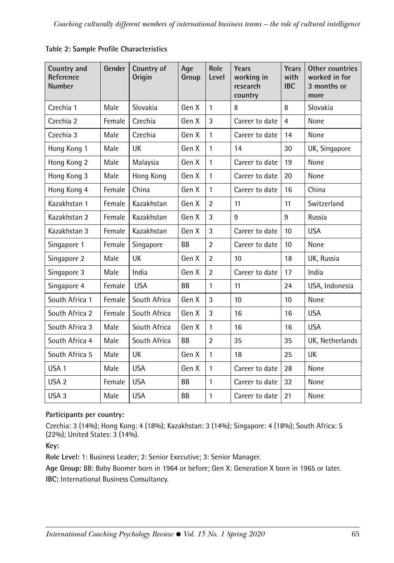| Country and<br>Reference<br><b>Number</b> | Gender | Country of<br>Origin | Age<br>Group | Role<br>Level  | Years<br>working in<br>research<br>country | Years<br>with<br><b>IBC</b> | Other countries<br>worked in for<br>3 months or<br>more |
|-------------------------------------------|--------|----------------------|--------------|----------------|--------------------------------------------|-----------------------------|---------------------------------------------------------|
| Czechia 1                                 | Male   | Slovakia             | Gen X        | 1              | 8                                          | 8                           | Slovakia                                                |
| Czechia 2                                 | Female | Czechia              | Gen X        | 3              | Career to date                             | $\overline{4}$              | None                                                    |
| Czechia 3                                 | Male   | Czechia              | Gen X        | 1              | Career to date                             | 14                          | None                                                    |
| Hong Kong 1                               | Male   | UK                   | Gen X        | 1              | 14                                         | 30                          | UK, Singapore                                           |
| Hong Kong 2                               | Male   | Malaysia             | Gen X        | 1              | Career to date                             | 19                          | None                                                    |
| Hong Kong 3                               | Male   | Hong Kong            | Gen X        | 1              | Career to date                             | 20                          | None                                                    |
| Hong Kong 4                               | Female | China                | Gen X        | $\mathbf{1}$   | Career to date                             | 16                          | China                                                   |
| Kazakhstan 1                              | Female | Kazakhstan           | Gen X        | $\overline{2}$ | 11                                         | 11                          | Switzerland                                             |
| Kazakhstan 2                              | Female | Kazakhstan           | Gen X        | 3              | 9                                          | 9                           | Russia                                                  |
| Kazakhstan 3                              | Female | Kazakhstan           | Gen X        | 3              | Career to date                             | 10                          | <b>USA</b>                                              |
| Singapore 1                               | Female | Singapore            | <b>BB</b>    | $\overline{2}$ | Career to date                             | 10                          | None                                                    |
| Singapore 2                               | Male   | UK                   | Gen X        | $\overline{2}$ | 10                                         | 18                          | UK, Russia                                              |
| Singapore 3                               | Male   | India                | Gen X        | $\overline{2}$ | Career to date                             | 17                          | India                                                   |
| Singapore 4                               | Female | <b>USA</b>           | BB           | $\mathbf{1}$   | 11                                         | 24                          | USA, Indonesia                                          |
| South Africa 1                            | Female | South Africa         | Gen X        | 3              | 10                                         | 10                          | None                                                    |
| South Africa 2                            | Female | South Africa         | Gen X        | 3              | 16                                         | 16                          | <b>USA</b>                                              |
| South Africa 3                            | Male   | South Africa         | Gen X        | 1              | 16                                         | 16                          | <b>USA</b>                                              |
| South Africa 4                            | Male   | South Africa         | BB           | $\overline{2}$ | 35                                         | 35                          | UK, Netherlands                                         |
| South Africa 5                            | Male   | UK                   | Gen X        | 1              | 18                                         | 25                          | UK                                                      |
| USA 1                                     | Male   | <b>USA</b>           | Gen X        | 1              | Career to date                             | 28                          | None                                                    |
| USA <sub>2</sub>                          | Female | <b>USA</b>           | <b>BB</b>    | 1              | Career to date                             | 32                          | None                                                    |
| USA <sub>3</sub>                          | Male   | <b>USA</b>           | <b>BB</b>    | 1              | Career to date                             | 21                          | None                                                    |

**Table 2: Sample Profile Characteristics**

## **Participants per country:**

Czechia: 3 (14%); Hong Kong: 4 (18%); Kazakhstan: 3 (14%); Singapore: 4 (18%); South Africa: 5 (22%); United States: 3 (14%).

**Key:**

**Role Level:** 1: Business Leader; 2: Senior Executive; 3: Senior Manager.

**Age Group:** BB: Baby Boomer born in 1964 or before; Gen X: Generation X born in 1965 or later. **IBC:** International Business Consultancy.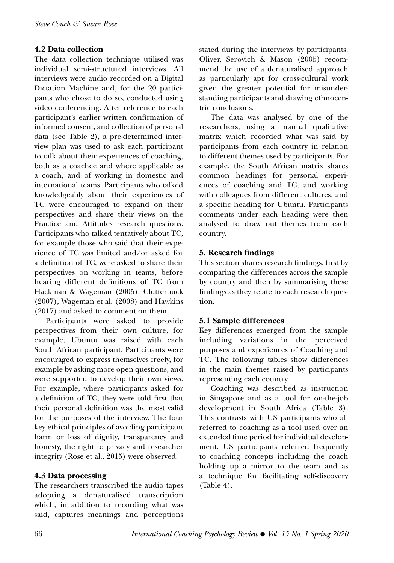## **4.2 Data collection**

The data collection technique utilised was individual semi-structured interviews. All interviews were audio recorded on a Digital Dictation Machine and, for the 20 participants who chose to do so, conducted using video conferencing. After reference to each participant's earlier written confirmation of informed consent, and collection of personal data (see Table 2), a pre-determined interview plan was used to ask each participant to talk about their experiences of coaching, both as a coachee and where applicable as a coach, and of working in domestic and international teams. Participants who talked knowledgeably about their experiences of TC were encouraged to expand on their perspectives and share their views on the Practice and Attitudes research questions. Participants who talked tentatively about TC, for example those who said that their experience of TC was limited and/or asked for a definition of TC, were asked to share their perspectives on working in teams, before hearing different definitions of TC from Hackman & Wageman (2005), Clutterbuck (2007), Wageman et al. (2008) and Hawkins (2017) and asked to comment on them.

Participants were asked to provide perspectives from their own culture, for example, Ubuntu was raised with each South African participant. Participants were encouraged to express themselves freely, for example by asking more open questions, and were supported to develop their own views. For example, where participants asked for a definition of TC, they were told first that their personal definition was the most valid for the purposes of the interview. The four key ethical principles of avoiding participant harm or loss of dignity, transparency and honesty, the right to privacy and researcher integrity (Rose et al., 2015) were observed.

### **4.3 Data processing**

The researchers transcribed the audio tapes adopting a denaturalised transcription which, in addition to recording what was said, captures meanings and perceptions stated during the interviews by participants. Oliver, Serovich & Mason (2005) recommend the use of a denaturalised approach as particularly apt for cross-cultural work given the greater potential for misunderstanding participants and drawing ethnocentric conclusions.

The data was analysed by one of the researchers, using a manual qualitative matrix which recorded what was said by participants from each country in relation to different themes used by participants. For example, the South African matrix shares common headings for personal experiences of coaching and TC, and working with colleagues from different cultures, and a specific heading for Ubuntu. Participants comments under each heading were then analysed to draw out themes from each country.

### **5. Research findings**

This section shares research findings, first by comparing the differences across the sample by country and then by summarising these findings as they relate to each research question.

### **5.1 Sample differences**

Key differences emerged from the sample including variations in the perceived purposes and experiences of Coaching and TC. The following tables show differences in the main themes raised by participants representing each country.

Coaching was described as instruction in Singapore and as a tool for on-the-job development in South Africa (Table 3). This contrasts with US participants who all referred to coaching as a tool used over an extended time period for individual development. US participants referred frequently to coaching concepts including the coach holding up a mirror to the team and as a technique for facilitating self-discovery (Table 4).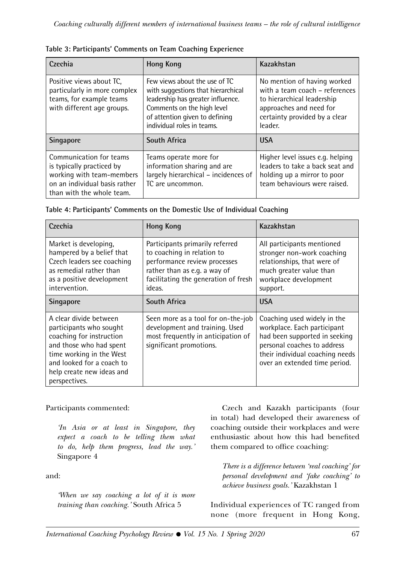| Czechia                                                                                                                                         | <b>Hong Kong</b>                                                                                                                                                                                       | Kazakhstan                                                                                                                                                         |
|-------------------------------------------------------------------------------------------------------------------------------------------------|--------------------------------------------------------------------------------------------------------------------------------------------------------------------------------------------------------|--------------------------------------------------------------------------------------------------------------------------------------------------------------------|
| Positive views about TC.<br>particularly in more complex<br>teams, for example teams<br>with different age groups.                              | Few views about the use of TC<br>with suggestions that hierarchical<br>leadership has greater influence.<br>Comments on the high level<br>of attention given to defining<br>individual roles in teams. | No mention of having worked<br>with a team coach - references<br>to hierarchical leadership<br>approaches and need for<br>certainty provided by a clear<br>leader. |
| <b>Singapore</b>                                                                                                                                | South Africa                                                                                                                                                                                           | <b>USA</b>                                                                                                                                                         |
| Communication for teams<br>is typically practiced by<br>working with team-members<br>on an individual basis rather<br>than with the whole team. | Teams operate more for<br>information sharing and are<br>largely hierarchical - incidences of<br>TC are uncommon.                                                                                      | Higher level issues e.g. helping<br>leaders to take a back seat and<br>holding up a mirror to poor<br>team behaviours were raised.                                 |

| Table 3: Participants' Comments on Team Coaching Experience |  |  |
|-------------------------------------------------------------|--|--|
|                                                             |  |  |

| Czechia                                                                                                                                                   | <b>Hong Kong</b>                                                                                                                                                                | Kazakhstan                                                                                                                                                    |  |
|-----------------------------------------------------------------------------------------------------------------------------------------------------------|---------------------------------------------------------------------------------------------------------------------------------------------------------------------------------|---------------------------------------------------------------------------------------------------------------------------------------------------------------|--|
| Market is developing.<br>hampered by a belief that<br>Czech leaders see coaching<br>as remedial rather than<br>as a positive development<br>intervention. | Participants primarily referred<br>to coaching in relation to<br>performance review processes<br>rather than as e.g. a way of<br>facilitating the generation of fresh<br>ideas. | All participants mentioned<br>stronger non-work coaching<br>relationships, that were of<br>much greater value than<br>workplace development<br>support.       |  |
| <b>Singapore</b>                                                                                                                                          | <b>South Africa</b>                                                                                                                                                             | <b>USA</b>                                                                                                                                                    |  |
| A clear divide between<br>participants who sought<br>coaching for instruction<br>and those who had spent<br>time working in the West                      | Seen more as a tool for on-the-job<br>development and training. Used<br>most frequently in anticipation of<br>significant promotions.                                           | Coaching used widely in the<br>workplace. Each participant<br>had been supported in seeking<br>personal coaches to address<br>their individual coaching needs |  |

**Table 4: Participants' Comments on the Domestic Use of Individual Coaching**

Participants commented:

and looked for a coach to help create new ideas and

perspectives.

*'In Asia or at least in Singapore, they expect a coach to be telling them what to do, help them progress, lead the way.'*  Singapore 4

and:

*'When we say coaching a lot of it is more training than coaching.'* South Africa 5

Czech and Kazakh participants (four in total) had developed their awareness of coaching outside their workplaces and were enthusiastic about how this had benefited them compared to office coaching:

over an extended time period.

*There is a difference between 'real coaching' for personal development and 'fake coaching' to achieve business goals.'* Kazakhstan 1

Individual experiences of TC ranged from none (more frequent in Hong Kong,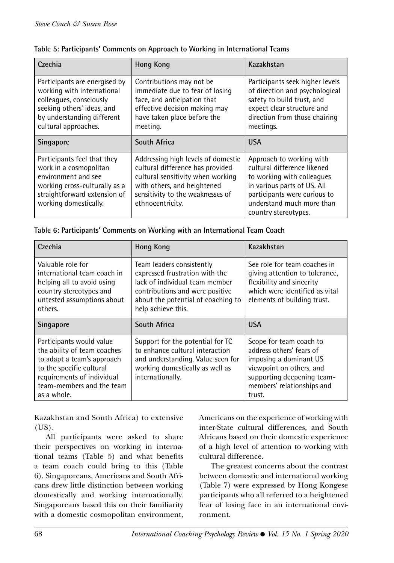| Czechia                                                                                                                                                                    | <b>Hong Kong</b>                                                                                                                                                                                   | Kazakhstan                                                                                                                                                                                                |
|----------------------------------------------------------------------------------------------------------------------------------------------------------------------------|----------------------------------------------------------------------------------------------------------------------------------------------------------------------------------------------------|-----------------------------------------------------------------------------------------------------------------------------------------------------------------------------------------------------------|
| Participants are energised by<br>working with international<br>colleagues, consciously<br>seeking others' ideas, and<br>by understanding different<br>cultural approaches. | Contributions may not be<br>immediate due to fear of losing<br>face, and anticipation that<br>effective decision making may<br>have taken place before the<br>meeting.                             | Participants seek higher levels<br>of direction and psychological<br>safety to build trust, and<br>expect clear structure and<br>direction from those chairing<br>meetings.                               |
| <b>Singapore</b>                                                                                                                                                           | <b>South Africa</b>                                                                                                                                                                                | <b>USA</b>                                                                                                                                                                                                |
| Participants feel that they<br>work in a cosmopolitan<br>environment and see<br>working cross-culturally as a<br>straightforward extension of<br>working domestically.     | Addressing high levels of domestic<br>cultural difference has provided<br>cultural sensitivity when working<br>with others, and heightened<br>sensitivity to the weaknesses of<br>ethnocentricity. | Approach to working with<br>cultural difference likened<br>to working with colleagues<br>in various parts of US. All<br>participants were curious to<br>understand much more than<br>country stereotypes. |

| Table 5: Participants' Comments on Approach to Working in International Teams |  |  |  |  |  |  |
|-------------------------------------------------------------------------------|--|--|--|--|--|--|
|-------------------------------------------------------------------------------|--|--|--|--|--|--|

| Czechia                                                                                                                                                                                     | <b>Hong Kong</b>                                                                                                                                                                             | Kazakhstan                                                                                                                                                                      |
|---------------------------------------------------------------------------------------------------------------------------------------------------------------------------------------------|----------------------------------------------------------------------------------------------------------------------------------------------------------------------------------------------|---------------------------------------------------------------------------------------------------------------------------------------------------------------------------------|
| Valuable role for<br>international team coach in<br>helping all to avoid using<br>country stereotypes and<br>untested assumptions about<br>others.                                          | Team leaders consistently<br>expressed frustration with the<br>lack of individual team member<br>contributions and were positive<br>about the potential of coaching to<br>help achieve this. | See role for team coaches in<br>giving attention to tolerance,<br>flexibility and sincerity<br>which were identified as vital<br>elements of building trust.                    |
| <b>Singapore</b>                                                                                                                                                                            | South Africa                                                                                                                                                                                 | <b>USA</b>                                                                                                                                                                      |
| Participants would value<br>the ability of team coaches<br>to adapt a team's approach<br>to the specific cultural<br>requirements of individual<br>team-members and the team<br>as a whole. | Support for the potential for TC<br>to enhance cultural interaction<br>and understanding. Value seen for<br>working domestically as well as<br>internationally.                              | Scope for team coach to<br>address others' fears of<br>imposing a dominant US<br>viewpoint on others, and<br>supporting deepening team-<br>members' relationships and<br>trust. |

| Table 6: Participants' Comments on Working with an International Team Coach |  |  |  |
|-----------------------------------------------------------------------------|--|--|--|
|                                                                             |  |  |  |

Kazakhstan and South Africa) to extensive  $(US)$ .

All participants were asked to share their perspectives on working in international teams (Table 5) and what benefits a team coach could bring to this (Table 6). Singaporeans, Americans and South Africans drew little distinction between working domestically and working internationally. Singaporeans based this on their familiarity with a domestic cosmopolitan environment, Americans on the experience of working with inter-State cultural differences, and South Africans based on their domestic experience of a high level of attention to working with cultural difference.

The greatest concerns about the contrast between domestic and international working (Table 7) were expressed by Hong Kongese participants who all referred to a heightened fear of losing face in an international environment.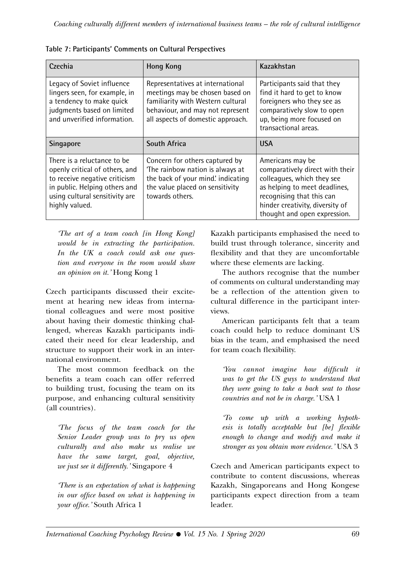| Czechia                                                                                                                                                                             | <b>Hong Kong</b>                                                                                                                                                                  | Kazakhstan                                                                                                                                                                                                         |  |
|-------------------------------------------------------------------------------------------------------------------------------------------------------------------------------------|-----------------------------------------------------------------------------------------------------------------------------------------------------------------------------------|--------------------------------------------------------------------------------------------------------------------------------------------------------------------------------------------------------------------|--|
| Legacy of Soviet influence<br>lingers seen, for example, in<br>a tendency to make quick<br>judgments based on limited<br>and unverified information.                                | Representatives at international<br>meetings may be chosen based on<br>familiarity with Western cultural<br>behaviour, and may not represent<br>all aspects of domestic approach. | Participants said that they<br>find it hard to get to know<br>foreigners who they see as<br>comparatively slow to open<br>up, being more focused on<br>transactional areas.                                        |  |
| <b>Singapore</b>                                                                                                                                                                    | South Africa                                                                                                                                                                      | <b>USA</b>                                                                                                                                                                                                         |  |
| There is a reluctance to be<br>openly critical of others, and<br>to receive negative criticism<br>in public. Helping others and<br>using cultural sensitivity are<br>highly valued. | Concern for others captured by<br>The rainbow nation is always at<br>the back of your mind. indicating<br>the value placed on sensitivity<br>towards others.                      | Americans may be<br>comparatively direct with their<br>colleagues, which they see<br>as helping to meet deadlines,<br>recognising that this can<br>hinder creativity, diversity of<br>thought and open expression. |  |

**Table 7: Participants' Comments on Cultural Perspectives**

*'The art of a team coach [in Hong Kong] would be in extracting the participation. In the UK a coach could ask one question and everyone in the room would share an opinion on it.'* Hong Kong 1

Czech participants discussed their excitement at hearing new ideas from international colleagues and were most positive about having their domestic thinking challenged, whereas Kazakh participants indicated their need for clear leadership, and structure to support their work in an international environment.

The most common feedback on the benefits a team coach can offer referred to building trust, focusing the team on its purpose, and enhancing cultural sensitivity (all countries).

*'The focus of the team coach for the Senior Leader group was to pry us open culturally and also make us realise we have the same target, goal, objective, we just see it differently.'* Singapore 4

*'There is an expectation of what is happening in our office based on what is happening in your office.'* South Africa 1

Kazakh participants emphasised the need to build trust through tolerance, sincerity and flexibility and that they are uncomfortable where these elements are lacking.

The authors recognise that the number of comments on cultural understanding may be a reflection of the attention given to cultural difference in the participant interviews.

American participants felt that a team coach could help to reduce dominant US bias in the team, and emphasised the need for team coach flexibility.

*'You cannot imagine how difficult it was to get the US guys to understand that they were going to take a back seat to those countries and not be in charge.'* USA 1

*'To come up with a working hypothesis is totally acceptable but [be] flexible enough to change and modify and make it stronger as you obtain more evidence.'* USA 3

Czech and American participants expect to contribute to content discussions, whereas Kazakh, Singaporeans and Hong Kongese participants expect direction from a team leader.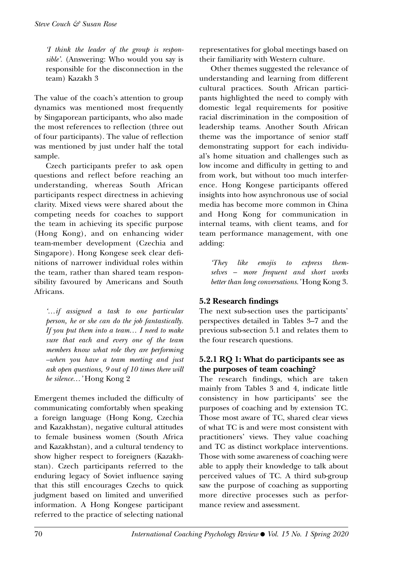*'I think the leader of the group is responsible'.* (Answering: Who would you say is responsible for the disconnection in the team) Kazakh 3

The value of the coach's attention to group dynamics was mentioned most frequently by Singaporean participants, who also made the most references to reflection (three out of four participants). The value of reflection was mentioned by just under half the total sample.

Czech participants prefer to ask open questions and reflect before reaching an understanding, whereas South African participants respect directness in achieving clarity. Mixed views were shared about the competing needs for coaches to support the team in achieving its specific purpose (Hong Kong), and on enhancing wider team-member development (Czechia and Singapore). Hong Kongese seek clear definitions of narrower individual roles within the team, rather than shared team responsibility favoured by Americans and South Africans.

*'…if assigned a task to one particular person, he or she can do the job fantastically. If you put them into a team… I need to make sure that each and every one of the team members know what role they are performing –when you have a team meeting and just ask open questions, 9 out of 10 times there will be silence…'* Hong Kong 2

Emergent themes included the difficulty of communicating comfortably when speaking a foreign language (Hong Kong, Czechia and Kazakhstan), negative cultural attitudes to female business women (South Africa and Kazakhstan), and a cultural tendency to show higher respect to foreigners (Kazakhstan). Czech participants referred to the enduring legacy of Soviet influence saying that this still encourages Czechs to quick judgment based on limited and unverified information. A Hong Kongese participant referred to the practice of selecting national

representatives for global meetings based on their familiarity with Western culture.

Other themes suggested the relevance of understanding and learning from different cultural practices. South African participants highlighted the need to comply with domestic legal requirements for positive racial discrimination in the composition of leadership teams. Another South African theme was the importance of senior staff demonstrating support for each individual's home situation and challenges such as low income and difficulty in getting to and from work, but without too much interference. Hong Kongese participants offered insights into how asynchronous use of social media has become more common in China and Hong Kong for communication in internal teams, with client teams, and for team performance management, with one adding:

*'They like emojis to express themselves – more frequent and short works better than long conversations.'* Hong Kong 3.

# **5.2 Research findings**

The next sub-section uses the participants' perspectives detailed in Tables 3–7 and the previous sub-section 5.1 and relates them to the four research questions.

## **5.2.1 RQ 1: What do participants see as the purposes of team coaching?**

The research findings, which are taken mainly from Tables 3 and 4, indicate little consistency in how participants' see the purposes of coaching and by extension TC. Those most aware of TC, shared clear views of what TC is and were most consistent with practitioners' views. They value coaching and TC as distinct workplace interventions. Those with some awareness of coaching were able to apply their knowledge to talk about perceived values of TC. A third sub-group saw the purpose of coaching as supporting more directive processes such as performance review and assessment.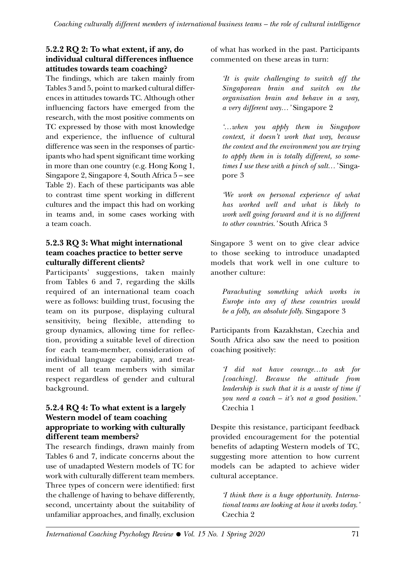### **5.2.2 RQ 2: To what extent, if any, do individual cultural differences influence attitudes towards team coaching?**

The findings, which are taken mainly from Tables 3 and 5, point to marked cultural differences in attitudes towards TC. Although other influencing factors have emerged from the research, with the most positive comments on TC expressed by those with most knowledge and experience, the influence of cultural difference was seen in the responses of participants who had spent significant time working in more than one country (e.g. Hong Kong 1, Singapore 2, Singapore 4, South Africa 5 – see Table 2). Each of these participants was able to contrast time spent working in different cultures and the impact this had on working in teams and, in some cases working with a team coach.

## **5.2.3 RQ 3: What might international team coaches practice to better serve culturally different clients?**

Participants' suggestions, taken mainly from Tables 6 and 7, regarding the skills required of an international team coach were as follows: building trust, focusing the team on its purpose, displaying cultural sensitivity, being flexible, attending to group dynamics, allowing time for reflection, providing a suitable level of direction for each team-member, consideration of individual language capability, and treatment of all team members with similar respect regardless of gender and cultural background.

#### **5.2.4 RQ 4: To what extent is a largely Western model of team coaching appropriate to working with culturally different team members?**

The research findings, drawn mainly from Tables 6 and 7, indicate concerns about the use of unadapted Western models of TC for work with culturally different team members. Three types of concern were identified: first the challenge of having to behave differently, second, uncertainty about the suitability of unfamiliar approaches, and finally, exclusion of what has worked in the past. Participants commented on these areas in turn:

*'It is quite challenging to switch off the Singaporean brain and switch on the organisation brain and behave in a way, a very different way…'* Singapore 2

*'…when you apply them in Singapore context, it doesn't work that way, because the context and the environment you are trying to apply them in is totally different, so sometimes I use these with a pinch of salt…'* Singapore 3

*'We work on personal experience of what has worked well and what is likely to work well going forward and it is no different to other countries.'* South Africa 3

Singapore 3 went on to give clear advice to those seeking to introduce unadapted models that work well in one culture to another culture:

*Parachuting something which works in Europe into any of these countries would be a folly, an absolute folly.* Singapore 3

Participants from Kazakhstan, Czechia and South Africa also saw the need to position coaching positively:

*'I did not have courage…to ask for [coaching]. Because the attitude from leadership is such that it is a waste of time if you need a coach – it's not a good position.'*  Czechia 1

Despite this resistance, participant feedback provided encouragement for the potential benefits of adapting Western models of TC, suggesting more attention to how current models can be adapted to achieve wider cultural acceptance.

*'I think there is a huge opportunity. International teams are looking at how it works today.'*  Czechia 2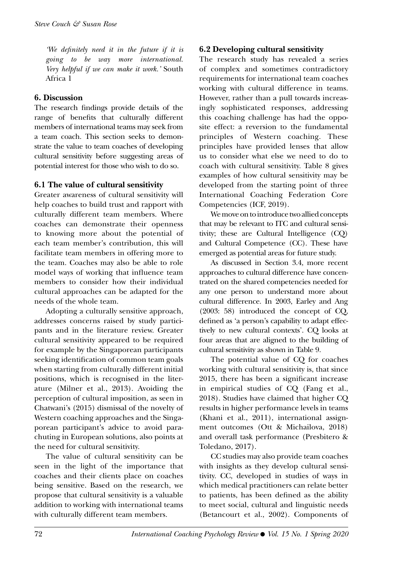*'We definitely need it in the future if it is going to be way more international. Very helpful if we can make it work.'* South Africa 1

#### **6. Discussion**

The research findings provide details of the range of benefits that culturally different members of international teams may seek from a team coach. This section seeks to demonstrate the value to team coaches of developing cultural sensitivity before suggesting areas of potential interest for those who wish to do so.

### **6.1 The value of cultural sensitivity**

Greater awareness of cultural sensitivity will help coaches to build trust and rapport with culturally different team members. Where coaches can demonstrate their openness to knowing more about the potential of each team member's contribution, this will facilitate team members in offering more to the team. Coaches may also be able to role model ways of working that influence team members to consider how their individual cultural approaches can be adapted for the needs of the whole team.

Adopting a culturally sensitive approach, addresses concerns raised by study participants and in the literature review. Greater cultural sensitivity appeared to be required for example by the Singaporean participants seeking identification of common team goals when starting from culturally different initial positions, which is recognised in the literature (Milner et al., 2013). Avoiding the perception of cultural imposition, as seen in Chatwani's (2015) dismissal of the novelty of Western coaching approaches and the Singaporean participant's advice to avoid parachuting in European solutions, also points at the need for cultural sensitivity.

The value of cultural sensitivity can be seen in the light of the importance that coaches and their clients place on coaches being sensitive. Based on the research, we propose that cultural sensitivity is a valuable addition to working with international teams with culturally different team members.

### **6.2 Developing cultural sensitivity**

The research study has revealed a series of complex and sometimes contradictory requirements for international team coaches working with cultural difference in teams. However, rather than a pull towards increasingly sophisticated responses, addressing this coaching challenge has had the opposite effect: a reversion to the fundamental principles of Western coaching. These principles have provided lenses that allow us to consider what else we need to do to coach with cultural sensitivity. Table 8 gives examples of how cultural sensitivity may be developed from the starting point of three International Coaching Federation Core Competencies (ICF, 2019).

We move on to introduce two allied concepts that may be relevant to ITC and cultural sensitivity; these are Cultural Intelligence (CQ) and Cultural Competence (CC). These have emerged as potential areas for future study.

As discussed in Section 3.4, more recent approaches to cultural difference have concentrated on the shared competencies needed for any one person to understand more about cultural difference. In 2003, Earley and Ang (2003: 58) introduced the concept of CQ, defined as 'a person's capability to adapt effectively to new cultural contexts'. CQ looks at four areas that are aligned to the building of cultural sensitivity as shown in Table 9.

The potential value of CQ for coaches working with cultural sensitivity is, that since 2015, there has been a significant increase in empirical studies of CQ (Fang et al., 2018). Studies have claimed that higher CQ results in higher performance levels in teams (Khani et al., 2011), international assignment outcomes (Ott & Michailova, 2018) and overall task performance (Presbitero & Toledano, 2017).

CC studies may also provide team coaches with insights as they develop cultural sensitivity. CC, developed in studies of ways in which medical practitioners can relate better to patients, has been defined as the ability to meet social, cultural and linguistic needs (Betancourt et al., 2002). Components of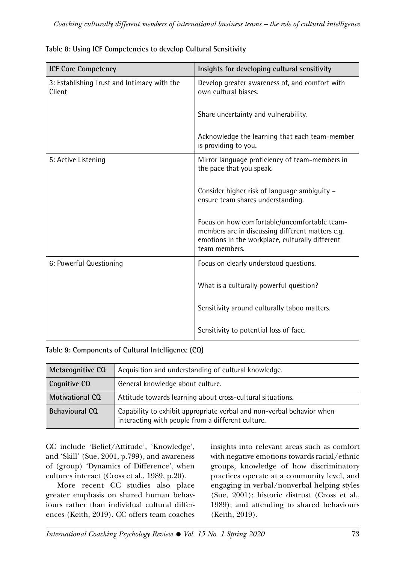| <b>ICF Core Competency</b>                            | Insights for developing cultural sensitivity                                                                                                                         |
|-------------------------------------------------------|----------------------------------------------------------------------------------------------------------------------------------------------------------------------|
| 3: Establishing Trust and Intimacy with the<br>Client | Develop greater awareness of, and comfort with<br>own cultural biases.                                                                                               |
|                                                       | Share uncertainty and vulnerability.                                                                                                                                 |
|                                                       | Acknowledge the learning that each team-member<br>is providing to you.                                                                                               |
| 5: Active Listening                                   | Mirror language proficiency of team-members in<br>the pace that you speak.                                                                                           |
|                                                       | Consider higher risk of language ambiguity -<br>ensure team shares understanding.                                                                                    |
|                                                       | Focus on how comfortable/uncomfortable team-<br>members are in discussing different matters e.g.<br>emotions in the workplace, culturally different<br>team members. |
| 6: Powerful Questioning                               | Focus on clearly understood questions.                                                                                                                               |
|                                                       | What is a culturally powerful question?                                                                                                                              |
|                                                       | Sensitivity around culturally taboo matters.                                                                                                                         |
|                                                       | Sensitivity to potential loss of face.                                                                                                                               |

|  |  | Table 8: Using ICF Competencies to develop Cultural Sensitivity |  |
|--|--|-----------------------------------------------------------------|--|
|--|--|-----------------------------------------------------------------|--|

**Table 9: Components of Cultural Intelligence (CQ)**

| Metacognitive CQ       | Acquisition and understanding of cultural knowledge.                                                                       |  |  |
|------------------------|----------------------------------------------------------------------------------------------------------------------------|--|--|
| Cognitive CQ           | General knowledge about culture.                                                                                           |  |  |
| <b>Motivational CQ</b> | Attitude towards learning about cross-cultural situations.                                                                 |  |  |
| <b>Behavioural CQ</b>  | Capability to exhibit appropriate verbal and non-verbal behavior when<br>interacting with people from a different culture. |  |  |

CC include 'Belief/Attitude', 'Knowledge', and 'Skill' (Sue, 2001, p.799), and awareness of (group) 'Dynamics of Difference', when cultures interact (Cross et al., 1989, p.20).

More recent CC studies also place greater emphasis on shared human behaviours rather than individual cultural differences (Keith, 2019). CC offers team coaches insights into relevant areas such as comfort with negative emotions towards racial/ethnic groups, knowledge of how discriminatory practices operate at a community level, and engaging in verbal/nonverbal helping styles (Sue, 2001); historic distrust (Cross et al., 1989); and attending to shared behaviours (Keith, 2019).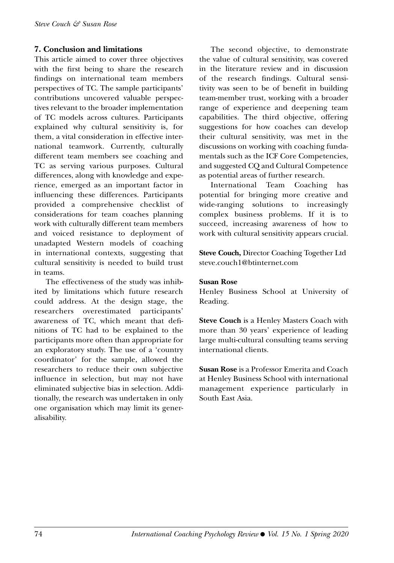#### **7. Conclusion and limitations**

This article aimed to cover three objectives with the first being to share the research findings on international team members perspectives of TC. The sample participants' contributions uncovered valuable perspectives relevant to the broader implementation of TC models across cultures. Participants explained why cultural sensitivity is, for them, a vital consideration in effective international teamwork. Currently, culturally different team members see coaching and TC as serving various purposes. Cultural differences, along with knowledge and experience, emerged as an important factor in influencing these differences. Participants provided a comprehensive checklist of considerations for team coaches planning work with culturally different team members and voiced resistance to deployment of unadapted Western models of coaching in international contexts, suggesting that cultural sensitivity is needed to build trust in teams.

The effectiveness of the study was inhibited by limitations which future research could address. At the design stage, the researchers overestimated participants' awareness of TC, which meant that definitions of TC had to be explained to the participants more often than appropriate for an exploratory study. The use of a 'country coordinator' for the sample, allowed the researchers to reduce their own subjective influence in selection, but may not have eliminated subjective bias in selection. Additionally, the research was undertaken in only one organisation which may limit its generalisability.

The second objective, to demonstrate the value of cultural sensitivity, was covered in the literature review and in discussion of the research findings. Cultural sensitivity was seen to be of benefit in building team-member trust, working with a broader range of experience and deepening team capabilities. The third objective, offering suggestions for how coaches can develop their cultural sensitivity, was met in the discussions on working with coaching fundamentals such as the ICF Core Competencies, and suggested CQ and Cultural Competence as potential areas of further research.

International Team Coaching has potential for bringing more creative and wide-ranging solutions to increasingly complex business problems. If it is to succeed, increasing awareness of how to work with cultural sensitivity appears crucial.

**Steve Couch,** Director Coaching Together Ltd steve.couch1@btinternet.com

#### **Susan Rose**

Henley Business School at University of Reading.

**Steve Couch** is a Henley Masters Coach with more than 30 years' experience of leading large multi-cultural consulting teams serving international clients.

**Susan Rose** is a Professor Emerita and Coach at Henley Business School with international management experience particularly in South East Asia.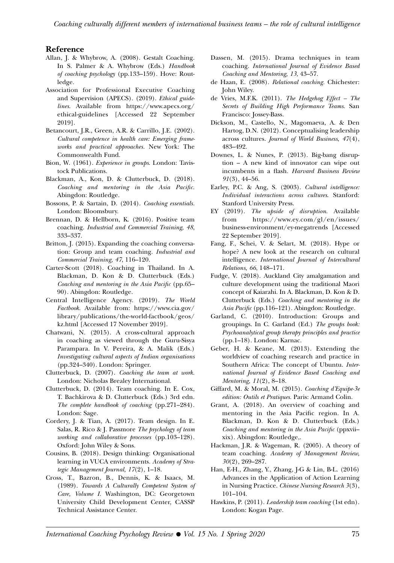#### **Reference**

- Allan, J. & Whybrow, A. (2008). Gestalt Coaching. In S. Palmer & A. Whybrow (Eds.) *Handbook of coaching psychology* (pp.133–159)*.* Hove: Routledge.
- Association for Professional Executive Coaching and Supervision (APECS). (2019). *Ethical guidelines*. Available from [https://www.apecs.org/](https://www.apecs.org/ethical-guidelines) [ethical-guidelines](https://www.apecs.org/ethical-guidelines) [Accessed 22 September 2019].
- Betancourt, J.R., Green, A.R. & Carrillo, J.E. (2002). *Cultural competence in health care: Emerging frameworks and practical approaches.* New York: The Commonwealth Fund.
- Bion, W. (1961). *Experience in groups*. London: Tavistock Publications.
- Blackman, A., Kon, D. & Clutterbuck, D. (2018). *Coaching and mentoring in the Asia Pacific.*  Abingdon: Routledge.
- Bossons, P. & Sartain, D. (2014). *Coaching essentials.*  London: Bloomsbury.
- Brennan, D. & Hellborn, K. (2016). Positive team coaching. *Industrial and Commercial Training*, *48*, 333–337.
- Britton, J. (2015). Expanding the coaching conversation: Group and team coaching. *Industrial and Commercial Training, 47*, 116–120.
- Carter-Scott (2018). Coaching in Thailand. In A. Blackman, D. Kon & D. Clutterbuck (Eds.) *Coaching and mentoring in the Asia Pacific* (pp.65– 90)*.* Abingdon: Routledge.
- Central Intelligence Agency. (2019). *The World Factbook*. Available from: [https://www.cia.gov/](https://www.cia.gov/library/publications/the-world-factbook/geos/kz.html) [library/publications/the-world-factbook/geos/](https://www.cia.gov/library/publications/the-world-factbook/geos/kz.html) [kz.html](https://www.cia.gov/library/publications/the-world-factbook/geos/kz.html) [Accessed 17 November 2019].
- Chatwani, N. (2015). A cross-cultural approach in coaching as viewed through the Guru-Sisya Parampara. In V. Pereira, & A. Malik (Eds.) *Investigating cultural aspects of Indian organisations*  (pp.324–340). London: Springer.
- Clutterbuck, D. (2007). *Coaching the team at work.*  London: Nicholas Brealey International.
- Clutterbuck, D. (2014). Team coaching. In E. Cox, T. Bachkirova & D. Clutterbuck (Eds.) 3rd edn. *The complete handbook of coaching* (pp.271–284)*.*  London: Sage.
- Cordery, J. & Tian, A. (2017). Team design. In E. Salas, R. Rico & J. Passmore *The psychology of team working and collaborative processes* (pp.103–128). Oxford: John Wiley & Sons.
- Cousins, B. (2018). Design thinking: Organisational learning in VUCA environments. *Academy of Strategic Management Journal, 17*(2), 1–18.
- Cross, T., Bazron, B., Dennis, K. & Isaacs, M. (1989). *Towards A Culturally Competent System of Care, Volume I.*  Washington, DC: Georgetown University Child Development Center, CASSP Technical Assistance Center.
- Dassen, M. (2015). Drama techniques in team coaching. *International Journal of Evidence Based Coaching and Mentoring*, *13*, 43–57.
- de Haan, E. (2008). *Relational coaching.* Chichester: John Wiley.
- de Vries, M.F.K. (2011). *The Hedgehog Effect The Secrets of Building High Performance Teams.* San Francisco: Jossey-Bass.
- Dickson, M., Castello, N., Magomaeva, A. & Den Hartog, D.N. (2012). Conceptualising leadership across cultures. *Journal of World Business*, *47*(4), 483–492.
- Downes, L. & Nunes, P. (2013). Big-bang disruption – A new kind of innovator can wipe out incumbents in a flash. *Harvard Business Review 91*(3), 44–56.
- Earley, P.C. & Ang, S. (2003). *Cultural intelligence: Individual interactions across cultures*. Stanford: Stanford University Press.
- EY (2019). *The upside of disruption*. Available from [https://www.ey.com/gl/en/issues/](https://www.ey.com/gl/en/issues/business-environment/ey-megatrends) [business-environment/ey-megatrends](https://www.ey.com/gl/en/issues/business-environment/ey-megatrends) [Accessed 22 September 2019].
- Fang, F., Schei, V. & Selart, M. (2018). Hype or hope? A new look at the research on cultural intelligence. *International Journal of Intercultural Relations, 66*, 148–171.
- Fudge, V. (2018). Auckland City amalgamation and culture development using the traditional Maori concept of Kaiarahi. In A. Blackman, D. Kon & D. Clutterbuck (Eds.) *Coaching and mentoring in the Asia Pacific* (pp.116–121)*.* Abingdon: Routledge.
- Garland, C. (2010). Introduction: Groups and groupings. In C. Garland (Ed.) *The groups book: Psychoanalytical group therapy principles and practice*  (pp.1–18)*.* London: Karnac.
- Geber, H. & Keane, M. (2013). Extending the worldview of coaching research and practice in Southern Africa: The concept of Ubuntu. *International Journal of Evidence Based Coaching and Mentoring, 11*(2), 8–18.
- Giffard, M. & Moral, M. (2015). *Coaching d'Equipe-3e edition: Outils et Pratiques.* Paris: Armand Colin.
- Grant, A. (2018). An overview of coaching and mentoring in the Asia Pacific region. In A. Blackman, D. Kon & D. Clutterbuck (Eds.) *Coaching and mentoring in the Asia Pacific* (ppxvii– xix)*.* Abingdon: Routledge,.
- Hackman, J.R. & Wageman, R. (2005). A theory of team coaching. *Academy of Management Review, 30*(2), 269–287.
- Han, E-H., Zhang, Y., Zhang, J-G & Lin, B-L. (2016) Advances in the Application of Action Learning in Nursing Practice. *Chinese Nursing Research 3*(3), 101–104.
- Hawkins, P. (2011). *Leadership team coaching* (1st edn). London: Kogan Page.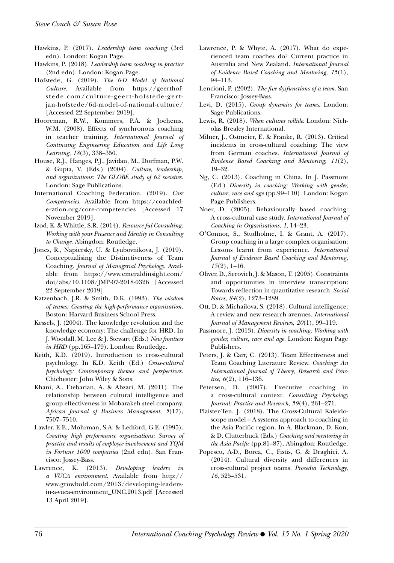- Hawkins, P. (2017). *Leadership team coaching* (3rd edn)*.* London: Kogan Page.
- Hawkins, P. (2018). *Leadership team coaching in practice* (2nd edn). London: Kogan Page.
- Hofstede, G. (2019). *The 6-D Model of National Culture*. Available from [https://geerthof](https://geerthofstede.com/culture-geert-hofstede-gert-jan-hofstede/6d-model-of-national-culture/)[stede.com/culture-geert-hofstede-gert](https://geerthofstede.com/culture-geert-hofstede-gert-jan-hofstede/6d-model-of-national-culture/)[jan-hofstede/6d-model-of-national-culture/](https://geerthofstede.com/culture-geert-hofstede-gert-jan-hofstede/6d-model-of-national-culture/)  [Accessed 22 September 2019].
- Hooreman, R.W., Kommers, P.A. & Jochems, W.M. (2008). Effects of synchronous coaching in teacher training. *International Journal of Continuing Engineering Education and Life Long Learning*, *18*(3), 338–350.
- House, R.J., Hanges, P.J., Javidan, M., Dorfman, P.W. & Gupta, V. (Eds.) (2004). *Culture, leadership, and organizations: The GLOBE study of 62 societies*. London: Sage Publications.
- International Coaching Federation. (2019). *Core Competencies*. Available from [https://coachfed](https://coachfederation.org/core-competencies)[eration.org/core-competencies](https://coachfederation.org/core-competencies) [Accessed 17 November 2019].
- Izod, K. & Whittle, S.R. (2014). *[Resource-ful Consulting:](https://www.amazon.co.uk/Resource-ful-Consulting-Working-Presence-Identity/dp/178220041X/ref=sr_1_2?keywords=karen+izod&qid=1568569958&s=books&sr=1-2)  [Working with your Presence and Identity in Consulting](https://www.amazon.co.uk/Resource-ful-Consulting-Working-Presence-Identity/dp/178220041X/ref=sr_1_2?keywords=karen+izod&qid=1568569958&s=books&sr=1-2)  [to Change](https://www.amazon.co.uk/Resource-ful-Consulting-Working-Presence-Identity/dp/178220041X/ref=sr_1_2?keywords=karen+izod&qid=1568569958&s=books&sr=1-2)*. Abingdon: Routledge.
- Jones, R., Napiersky, U. & Lyubovnikova, J. (2019). Conceptualising the Distinctiveness of Team Coaching. *Journal of Managerial Psychology.* Available from [https://www.emeraldinsight.com/](https://www.emeraldinsight.com/doi/abs/10.1108/JMP-07-2018-0326) [doi/abs/10.1108/JMP-07-2018-0326](https://www.emeraldinsight.com/doi/abs/10.1108/JMP-07-2018-0326) [Accessed 22 September 2019].
- Katzenbach, J.R. & Smith, D.K. (1993). *The wisdom of teams: Creating the high-performance organisation.* Boston: Harvard Business School Press.
- Kessels, J. (2004). The knowledge revolution and the knowledge economy: The challenge for HRD. In J. Woodall, M. Lee & J. Stewart (Eds.) *New frontiers in HRD* (pp.165–179)*.* London: Routledge.
- Keith, K.D. (2019). Introduction to cross-cultural psychology. In K.D. Keith (Ed.) *Cross-cultural psychology: Contemporary themes and perspectives*. Chichester: John Wiley & Sons.
- Khani, A., Etebarian, A. & Abzari, M. (2011). The relationship between cultural intelligence and group effectiveness in Mobarakeh steel company. *African Journal of Business Management*, *5*(17), 7507–7510.
- Lawler, E.E., Mohrman, S.A. & Ledford, G.E. (1995). *Creating high performance organisations: Survey of practice and results of employee involvement and TQM in Fortune 1000 companies* (2nd edn). San Francisco: Jossey-Bass.
- Lawrence, K. (2013). *Developing leaders in a VUCA environment*. Available from [http://](http://www.growbold.com/2013/developing-leaders-in-a-vuca-environment_UNC.2013.pdf) [www.growbold.com/2013/developing-leaders](http://www.growbold.com/2013/developing-leaders-in-a-vuca-environment_UNC.2013.pdf)[in-a-vuca-environment\\_UNC.2013.pdf](http://www.growbold.com/2013/developing-leaders-in-a-vuca-environment_UNC.2013.pdf) [Accessed 13 April 2019].
- Lawrence, P. & Whyte, A. (2017). What do experienced team coaches do? Current practice in Australia and New Zealand. *International Journal of Evidence Based Coaching and Mentoring, 15*(1), 94–113.
- Lencioni, P. (2002). *The five dysfunctions of a team.* San Francisco: Jossey-Bass.
- Levi, D. (2015). *Group dynamics for teams.* London: Sage Publications.
- Lewis, R. (2018). *When cultures collide*. London: Nicholas Brealey International.
- Milner, J., Ostmeier, E. & Franke, R. (2013). Critical incidents in cross-cultural coaching: The view from German coaches. *International Journal of Evidence Based Coaching and Mentoring, 11*(2), 19–32.
- Ng, C. (2013). Coaching in China. In J. Passmore (Ed.) *Diversity in coaching: Working with gender, culture, race and age* (pp.99–110)*.* London: Kogan Page Publishers.
- Noer, D. (2005). Behaviourally based coaching: A cross-cultural case study. *International Journal of Coaching in Organisations*, *1*, 14–23.
- O'Connor, S., Studholme, I. & Grant, A. (2017). Group coaching in a large complex organisation: Lessons learnt from experience. *International Journal of Evidence Based Coaching and Mentoring*, *15*(2), 1–16.
- Oliver, D., Serovich, J. & Mason, T. (2005). Constraints and opportunities in interview transcription: Towards reflection in quantitative research. *Social Forces*, *84*(2), 1273–1289.
- Ott, D. & Michailova, S. (2018). Cultural intelligence: A review and new research avenues. *International Journal of Management Reviews, 20*(1), 99–119.
- Passmore, J. (2013). *Diversity in coaching: Working with gender, culture, race and age.* London: Kogan Page Publishers.
- Peters, J. & Carr, C. (2013). Team Effectiveness and Team Coaching Literature Review. *Coaching: An International Journal of Theory, Research and Practice*, *6*(2), 116–136.
- Petersen, D. (2007). Executive coaching in a cross-cultural context. *Consulting Psychology Journal: Practice and Research*, *59*(4), 261–271.
- Plaister-Ten, J. (2018). The Cross-Cultural Kaleidoscope model – A systems approach to coaching in the Asia Pacific region. In A. Blackman, D. Kon, & D. Clutterbuck (Eds.) *Coaching and mentoring in the Asia Pacific* (pp.81–87)*.* Abingdon: Routledge.
- Popescu, A-D., Borca, C., Fistis, G. & Draghici, A. (2014). Cultural diversity and differences in cross-cultural project teams. *Procedia Technology*, *16*, 525–531.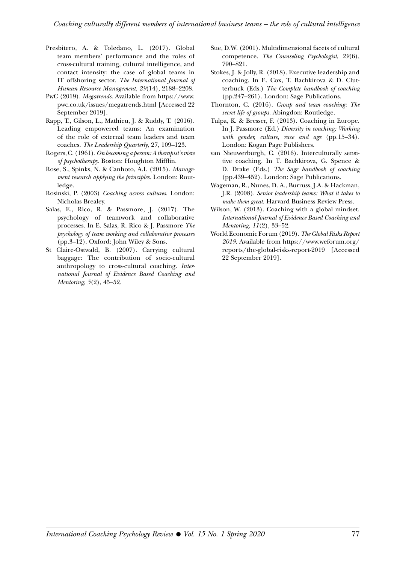- Presbitero, A. & Toledano, L. (2017). Global team members' performance and the roles of cross-cultural training, cultural intelligence, and contact intensity: the case of global teams in IT offshoring sector. *The International Journal of Human Resource Management*, *29*(14), 2188–2208.
- PwC (2019). *Megatrends*. Available from [https://www.](https://www.pwc.co.uk/issues/megatrends.html) [pwc.co.uk/issues/megatrends.html](https://www.pwc.co.uk/issues/megatrends.html) [Accessed 22 September 2019].
- Rapp, T., Gilson, L., Mathieu, J. & Ruddy, T. (2016). Leading empowered teams: An examination of the role of external team leaders and team coaches. *The Leadership Quarterly*, 27, 109–123.
- Rogers, C. (1961). *On becoming a person: A therapist's view of psychotherapy.* Boston: Houghton Mifflin.
- Rose, S., Spinks, N. & Canhoto, A.I. (2015). *Management research applying the principles.* London: Routledge.
- Rosinski, P. (2003) *Coaching across cultures*. London: Nicholas Brealey.
- Salas, E., Rico, R. & Passmore, J. (2017). The psychology of teamwork and collaborative processes. In E. Salas, R. Rico & J. Passmore *The psychology of team working and collaborative processes*  (pp.3–12). Oxford: John Wiley & Sons.
- St Claire-Ostwald, B. (2007). Carrying cultural baggage: The contribution of socio-cultural anthropology to cross-cultural coaching. *International Journal of Evidence Based Coaching and Mentoring*, *5*(2), 45–52.
- Sue, D.W. (2001). Multidimensional facets of cultural competence. *The Counseling Psychologist*, *29*(6), 790–821.
- Stokes, J. & Jolly, R. (2018). Executive leadership and coaching. In E. Cox, T. Bachkirova & D. Clutterbuck (Eds.) *The Complete handbook of coaching*  (pp.247–261)*.* London: Sage Publications.
- Thornton, C. (2016). *Group and team coaching: The secret life of groups.* Abingdon: Routledge.
- Tulpa, K. & Bresser, F. (2013). Coaching in Europe. In J. Passmore (Ed.) *Diversity in coaching: Working with gender, culture, race and age* (pp.15–34)*.*  London: Kogan Page Publishers.
- van Nieuwerburgh, C. (2016). Interculturally sensitive coaching. In T. Bachkirova, G. Spence & D. Drake (Eds.) *The Sage handbook of coaching*  (pp.439–452). London: Sage Publications.
- Wageman, R., Nunes, D. A., Burruss, J.A. & Hackman, J.R. (2008). *Senior leadership teams: What it takes to make them great*. Harvard Business Review Press.
- Wilson, W. (2013). Coaching with a global mindset. *International Journal of Evidence Based Coaching and Mentoring*, *11*(2), 33–52.
- World Economic Forum (2019). *The Global Risks Report 2019*. Available from [https://www.weforum.org/](https://www.weforum.org/reports/the-global-risks-report-2019) [reports/the-global-risks-report-2019](https://www.weforum.org/reports/the-global-risks-report-2019) [Accessed 22 September 2019].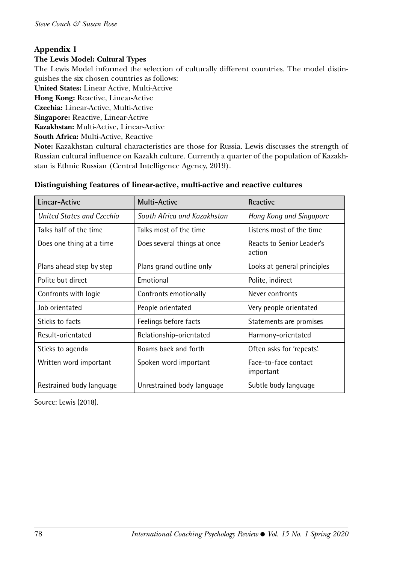## **Appendix 1**

#### **The Lewis Model: Cultural Types**

The Lewis Model informed the selection of culturally different countries. The model distinguishes the six chosen countries as follows:

**United States:** Linear Active, Multi-Active

**Hong Kong:** Reactive, Linear-Active

**Czechia:** Linear-Active, Multi-Active

**Singapore:** Reactive, Linear-Active

**Kazakhstan:** Multi-Active, Linear-Active

**South Africa:** Multi-Active, Reactive

**Note:** Kazakhstan cultural characteristics are those for Russia. Lewis discusses the strength of Russian cultural influence on Kazakh culture. Currently a quarter of the population of Kazakhstan is Ethnic Russian (Central Intelligence Agency, 2019).

| Linear-Active             | <b>Multi-Active</b>                                | Reactive                                   |  |
|---------------------------|----------------------------------------------------|--------------------------------------------|--|
| United States and Czechia | South Africa and Kazakhstan                        | Hong Kong and Singapore                    |  |
| Talks half of the time    | Talks most of the time                             | Listens most of the time                   |  |
| Does one thing at a time  | Does several things at once                        | <b>Reacts to Senior Leader's</b><br>action |  |
| Plans ahead step by step  | Plans grand outline only                           | Looks at general principles                |  |
| Polite but direct         | Emotional                                          | Polite, indirect                           |  |
| Confronts with logic      | Confronts emotionally                              | Never confronts                            |  |
| Job orientated            | People orientated                                  | Very people orientated                     |  |
| Sticks to facts           | Feelings before facts                              | Statements are promises                    |  |
| Result-orientated         | Relationship-orientated                            | Harmony-orientated                         |  |
| Sticks to agenda          | Roams back and forth                               | Often asks for 'repeats'.                  |  |
| Written word important    | Spoken word important                              | Face-to-face contact<br>important          |  |
| Restrained body language  | Unrestrained body language<br>Subtle body language |                                            |  |

#### **Distinguishing features of linear-active, multi-active and reactive cultures**

Source: Lewis (2018).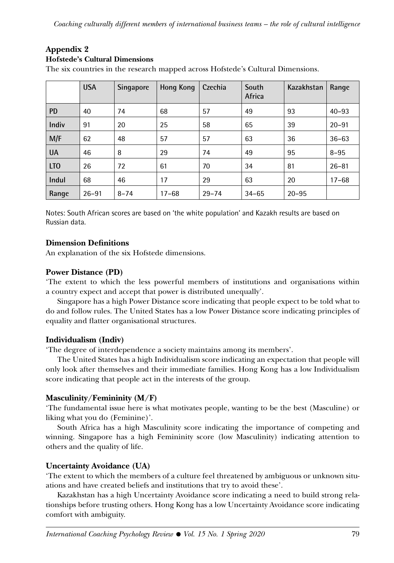## **Appendix 2**

#### **Hofstede's Cultural Dimensions**

The six countries in the research mapped across Hofstede's Cultural Dimensions.

|                 | <b>USA</b> | Singapore | Hong Kong | Czechia   | South<br>Africa | Kazakhstan | Range     |
|-----------------|------------|-----------|-----------|-----------|-----------------|------------|-----------|
| <b>PD</b>       | 40         | 74        | 68        | 57        | 49              | 93         | $40 - 93$ |
| Indiv           | 91         | 20        | 25        | 58        | 65              | 39         | $20 - 91$ |
| M/F             | 62         | 48        | 57        | 57        | 63              | 36         | $36 - 63$ |
| <b>UA</b>       | 46         | 8         | 29        | 74        | 49              | 95         | $8 - 95$  |
| LT <sub>0</sub> | 26         | 72        | 61        | 70        | 34              | 81         | $26 - 81$ |
| Indul           | 68         | 46        | 17        | 29        | 63              | 20         | $17 - 68$ |
| Range           | $26 - 91$  | $8 - 74$  | $17 - 68$ | $29 - 74$ | $34 - 65$       | $20 - 95$  |           |

Notes: South African scores are based on 'the white population' and Kazakh results are based on Russian data.

### **Dimension Definitions**

An explanation of the six Hofstede dimensions.

### **Power Distance (PD)**

'The extent to which the less powerful members of institutions and organisations within a country expect and accept that power is distributed unequally'.

Singapore has a high Power Distance score indicating that people expect to be told what to do and follow rules. The United States has a low Power Distance score indicating principles of equality and flatter organisational structures.

### **Individualism (Indiv)**

'The degree of interdependence a society maintains among its members'.

The United States has a high Individualism score indicating an expectation that people will only look after themselves and their immediate families. Hong Kong has a low Individualism score indicating that people act in the interests of the group.

## **Masculinity/Femininity (M/F)**

'The fundamental issue here is what motivates people, wanting to be the best (Masculine) or liking what you do (Feminine)'.

South Africa has a high Masculinity score indicating the importance of competing and winning. Singapore has a high Femininity score (low Masculinity) indicating attention to others and the quality of life.

### **Uncertainty Avoidance (UA)**

'The extent to which the members of a culture feel threatened by ambiguous or unknown situations and have created beliefs and institutions that try to avoid these'.

Kazakhstan has a high Uncertainty Avoidance score indicating a need to build strong relationships before trusting others. Hong Kong has a low Uncertainty Avoidance score indicating comfort with ambiguity.